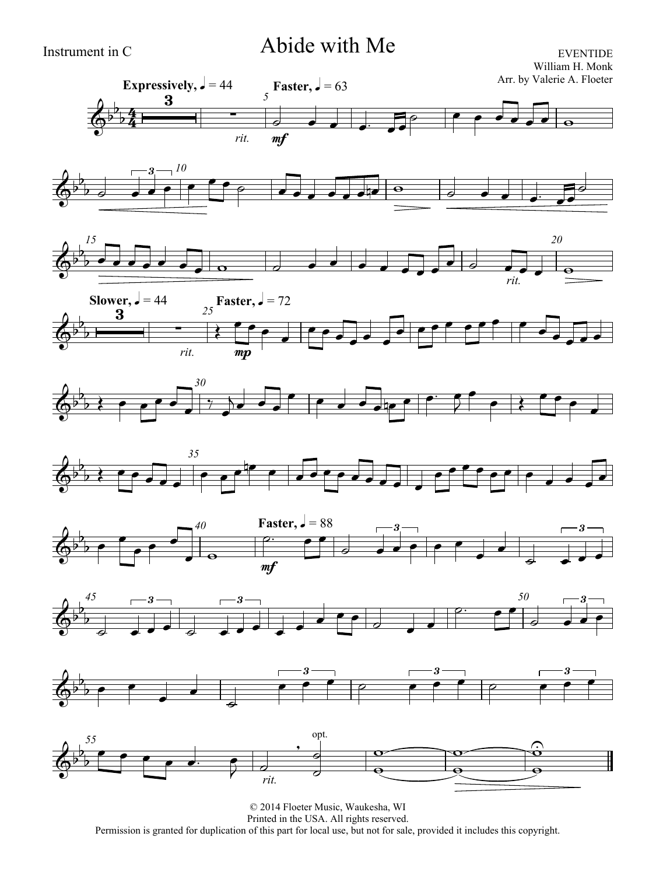## Instrument in C Abide with Me

EVENTIDE William H. Monk

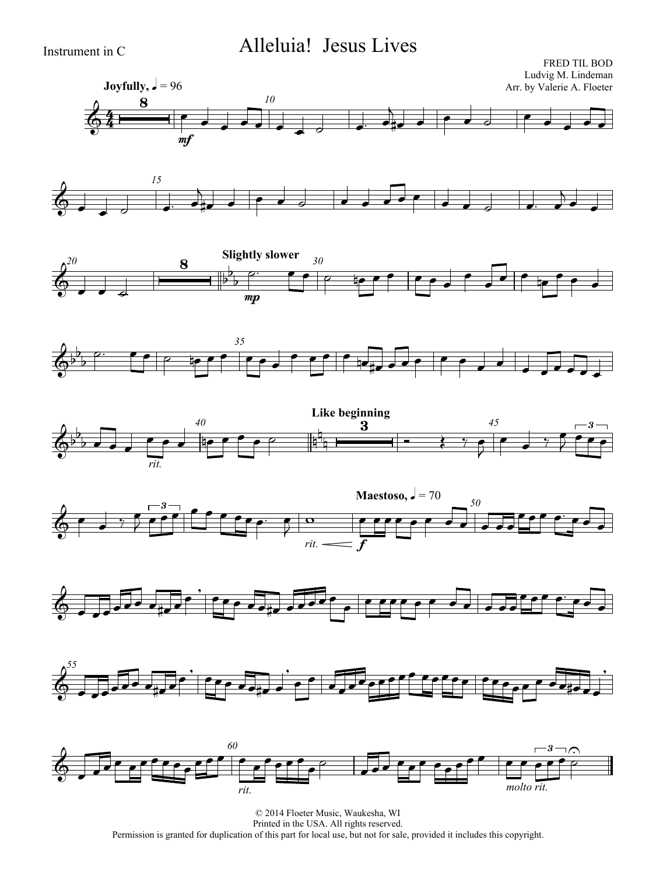## Instrument in C Alleluia! Jesus Lives



















© 2014 Floeter Music, Waukesha, WI Printed in the USA. All rights reserved. Permission is granted for duplication of this part for local use, but not for sale, provided it includes this copyright.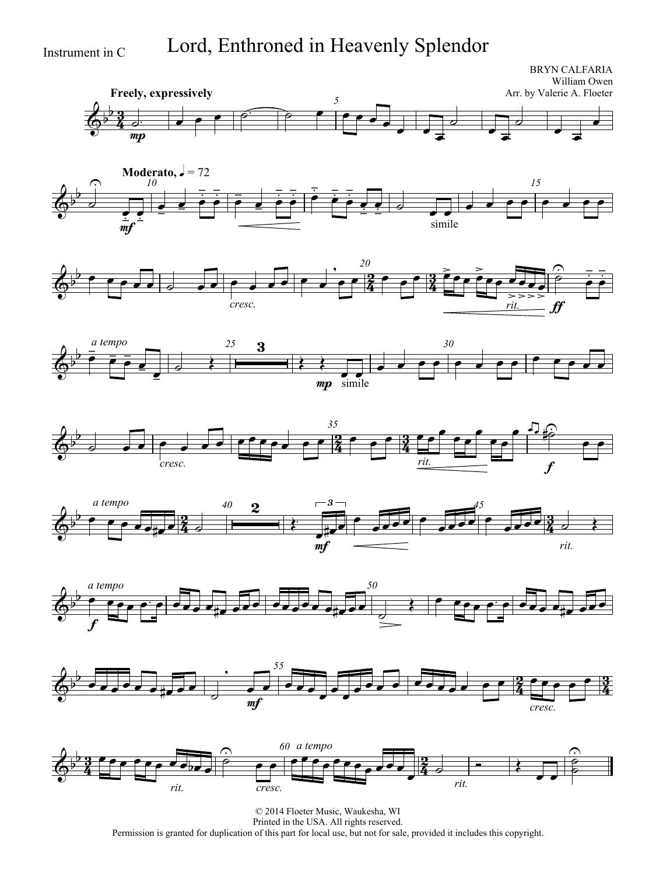Instrument in C Lord, Enthroned in Heavenly Splendor

<u>3</u>  $\frac{3}{4}$ **Freely, expressively** BRYN CALFARIA William Owen Arr. by Valerie A. Floeter *5*  $\overline{\mathbb{Q}^{\flat}}$  $\mathbf{b}$ mp  $\sigma$   $\sigma$   $\sigma$   $\sigma$   $\sigma$   $\sigma$   $\sigma$   $\sigma$  $\overline{\phantom{a}}$  $\overline{\phantom{a}}$  $\overline{d}$  $\overline{\phantom{0}}$  $\overline{\phantom{a}}$  $\overline{d}$  $\overline{\phantom{0}}$  $\overline{\phantom{0}}$  $\overline{\phantom{a}}$ **Moderato,**  $\sqrt{ } = 72$ *10 15*  $\overline{\mathbb{Q}^{\flat}}$  $\frac{1}{2}$  $\overline{\partial}$  $\bigcap$  $\frac{1}{m}$  $\frac{1}{\cdot}$  $\frac{1}{\frac{1}{2}}$  $\frac{1}{\sqrt{1-\frac{1}{2}}}$  $\overline{\phantom{a}}$  $\frac{1}{2}$  $\frac{1}{\bullet}$  $\frac{1}{2}$  $\frac{1}{\bullet}$  $\frac{1}{\sqrt{2}}$  $\frac{1}{\sqrt{2}}$  $\frac{1}{2}$  $\frac{1}{\sqrt{2}}$  $\frac{1}{2}$  $\frac{1}{\bullet}$  $\frac{1}{\sqrt{2}}$  $\cdot$  $\frac{1}{\left( \frac{1}{2}\right)^{2}}$  $\frac{1}{2}$  $\frac{1}{\frac{1}{1-\frac{1}{1-\frac{1}{1-\frac{1}{1-\frac{1}{1-\frac{1}{1-\frac{1}{1-\frac{1}{1-\frac{1}{1-\frac{1}{1-\frac{1}{1-\frac{1}{1-\frac{1}{1-\frac{1}{1-\frac{1}{1-\frac{1}{1-\frac{1}{1-\frac{1}{1-\frac{1}{1-\frac{1}{1-\frac{1}{1-\frac{1}{1-\frac{1}{1-\frac{1}{1-\frac{1}{1-\frac{1}{1-\frac{1}{1-\frac{1}{1-\frac{1}{1-\frac{1}{1-\frac{1}{1-\frac{1}{1-\frac{1}{1-\frac{1}{1-\frac{1}{1-\frac{1}{$  $\frac{1}{1}$  $\bullet$  0 simile  $\overline{\cdot}$  .  $\overline{\phantom{a}}$ -<br>2  $\frac{2}{4}$ *20*  $\overline{\phantom{a}}$ *cresc.*  $\overline{\phantom{a}}$  $\overline{\phantom{a}}$  $\bullet$   $\bullet$   $\frac{20}{4}$   $\bullet$   $\bullet$   $\frac{3}{4}$   $\bullet$   $\bullet$ *rit.*  $\frac{>}{\bullet}$  $rac{1}{\sqrt{1-\frac{1}{2}}}$  $f\hspace{-0.1cm}f$  $\overline{\phantom{a}}$  $\overline{\phantom{a}}$  $\equiv$  $\overline{\phantom{a}}$  $\frac{1}{\sqrt{2}}$  $\overline{\phantom{a}}$  $\frac{1}{1}$  $\frac{1}{\mathbf{p}}$  $\frac{1}{\Omega}$  $\bar{\bar{\bullet}}$  $\frac{1}{2}$  $\frac{1}{\bullet \bullet}$  $\frac{1}{2}$  $\frac{1}{1}$ *25 30*  $\overline{\mathbb{Q}^{\flat}}$  $\frac{1}{2}$ *a tempo*  $\bar{\bullet}$  $\frac{1}{\sqrt{2}}$  $\frac{1}{\sqrt{2}}$  $\frac{\cdot}{\cdot}$  $\overrightarrow{a}$ 3  $\frac{\lambda}{\lambda}$ mp  $\frac{1}{\sqrt{2}}$  $\frac{1}{\text{simple}}$  $\overline{a}$  ,  $\overline{a}$  ,  $\overline{a}$  ,  $\overline{a}$  ,  $\overline{a}$  ,  $\overline{a}$  ,  $\overline{a}$  ,  $\overline{a}$  ,  $\overline{a}$  ,  $\overline{a}$  ,  $\overline{a}$  ,  $\overline{a}$  ,  $\overline{a}$  ,  $\overline{a}$  ,  $\overline{a}$  ,  $\overline{a}$  ,  $\overline{a}$  ,  $\overline{a}$  ,  $\overline{a}$  ,  $\overline{a}$  , 2  $\frac{2}{4}$ *35*  $6^{\circ}$   $\sqrt{2}$   $\sqrt{2}$   $\sqrt{2}$   $\sqrt{2}$   $\sqrt{2}$   $\sqrt{2}$   $\sqrt{2}$   $\sqrt{2}$   $\sqrt{2}$   $\sqrt{2}$   $\sqrt{2}$   $\sqrt{2}$   $\sqrt{2}$   $\sqrt{2}$   $\sqrt{2}$   $\sqrt{2}$   $\sqrt{2}$   $\sqrt{2}$   $\sqrt{2}$   $\sqrt{2}$   $\sqrt{2}$   $\sqrt{2}$   $\sqrt{2}$   $\sqrt{2}$   $\sqrt{2}$   $\sqrt{2}$   $\sqrt{2$  $\frac{1}{2}$  $\frac{1}{2}$ *cresc.*  $\sqrt{2}$   $\sqrt{2}$   $\sqrt{2}$   $\sqrt{2}$   $\sqrt{2}$   $\sqrt{2}$   $\sqrt{2}$   $\sqrt{2}$   $\sqrt{2}$   $\sqrt{2}$   $\sqrt{2}$   $\sqrt{2}$   $\sqrt{2}$   $\sqrt{2}$   $\sqrt{2}$   $\sqrt{2}$   $\sqrt{2}$   $\sqrt{2}$   $\sqrt{2}$   $\sqrt{2}$   $\sqrt{2}$   $\sqrt{2}$   $\sqrt{2}$   $\sqrt{2}$   $\sqrt{2}$   $\sqrt{2}$   $\sqrt{2}$   $\sqrt{2$ *rit.*  $\bullet$   $\frac{3}{4}$   $\bullet$  $\overline{\phantom{a}}$  $\overline{\phantom{a}}$  $\overline{\phantom{a}}$ f  $\frac{1}{\sqrt{1-\frac{1}{2}}}$  $\begin{array}{c} \bullet \end{array}$ ि  $\widehat{\mathbb{P}}$  $\overline{\cdot}$ 2  $\frac{2}{4}$ 40 **9**  $-3$   $45$  $\left\langle \theta^{\flat} \right\rangle$  , and  $\left\langle \theta^{\flat} \right\rangle$  , and  $\left\langle \theta^{\flat} \right\rangle$  , and  $\left\langle \theta^{\flat} \right\rangle$  , and  $\left\langle \theta^{\flat} \right\rangle$  $\frac{1}{2}$ *a tempo*  $\frac{1}{2}$   $\frac{1}{2}$   $\frac{1}{4}$   $\frac{1}{4}$   $\frac{1}{4}$  $\overline{2}$  $\overleftarrow{\cdot}$ mf 3  $\frac{1}{\sqrt{10}}$  $\overline{\phantom{0}}$  $\sqrt{2}$  $\sqrt{10}$ *rit.*  $\overline{\cdots}$   $\overline{\phantom{a}2}$ *50*  $\overline{\mathbb{Q}^{\flat}}$  *a tempo* f  $\overline{\phantom{a}}$  $\frac{1}{2}$  *55* 2  $\frac{2}{4}$  $\bigotimes^b$  order  $\bigotimes^a$  or  $\bigotimes^b$  or  $\bigotimes^b$  or  $\bigotimes^b$  or  $\bigotimes^b$  or  $\bigotimes^b$  if  $\bigotimes^b$  or  $\bigotimes^b$  $\mathbf{b}$  $\overrightarrow{e}$  $\overline{\phantom{0}}$  $\overline{\phantom{a}}$  $\overline{\phantom{a}}$  $\overline{\phantom{a}}$  $\bullet$   $\bullet$   $\frac{2}{4}$   $\bullet$   $\bullet$   $\bullet$   $\bullet$ 



 $\overline{\phantom{0}}$ 

 $\overline{\phantom{a}}$ 

*cresc.*

 $\overline{\partial}$ 

mf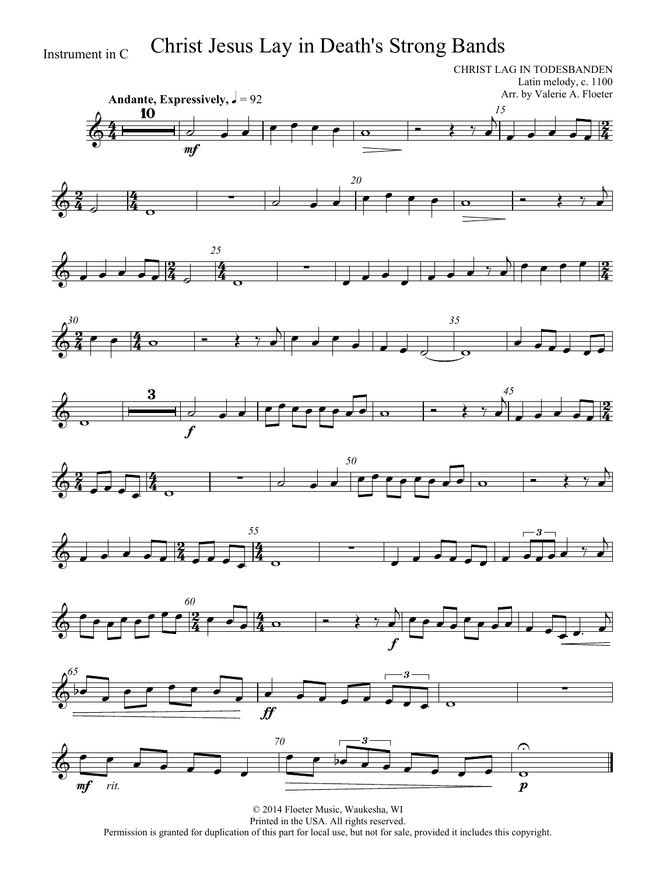# Instrument in C Christ Jesus Lay in Death's Strong Bands

CHRIST LAG IN TODESBANDEN Latin melody, c. 1100 Arr. by Valerie A. Floeter



















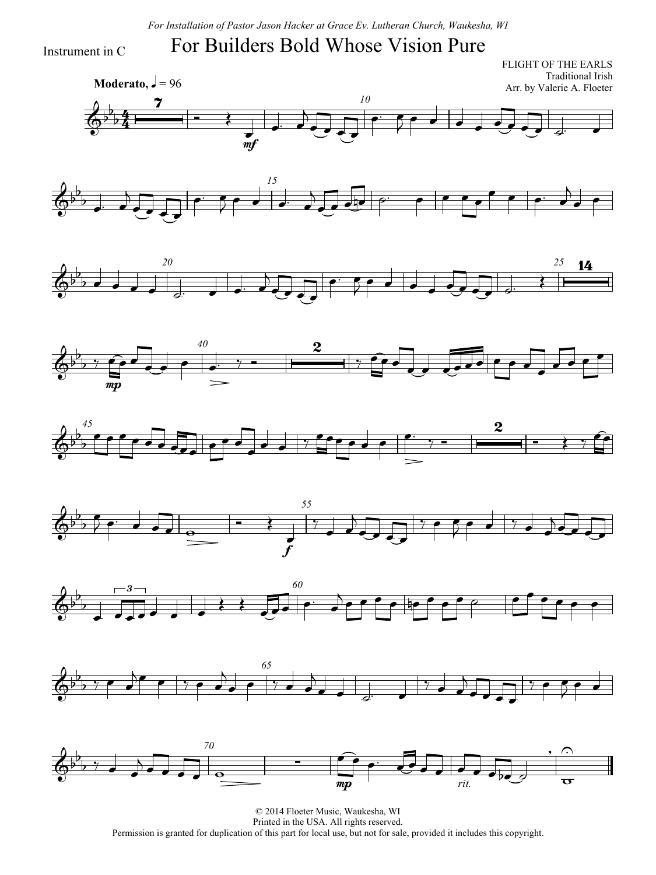*For Installation of Pastor Jason Hacker at Grace Ev. Lutheran Church, Waukesha, WI*

### For Builders Bold Whose Vision Pure

Instrument in C

 $\frac{1}{2}$  $\frac{4}{4}$ **Moderato,**  $\sqrt{ } = 96$ FLIGHT OF THE EARLS Traditional Irish Arr. by Valerie A. Floeter *10*  $\overline{\mathbb{Q}^{\flat}}$  $\mathsf{b}$  $\overline{b}$  $\overline{\mathbf{z}}$  $\overrightarrow{ }$  $\frac{1}{m}$  $\overline{\phantom{a}}$  $\overline{\phantom{0}}$  $\overline{C}$  $\bullet$   $\bullet$ 















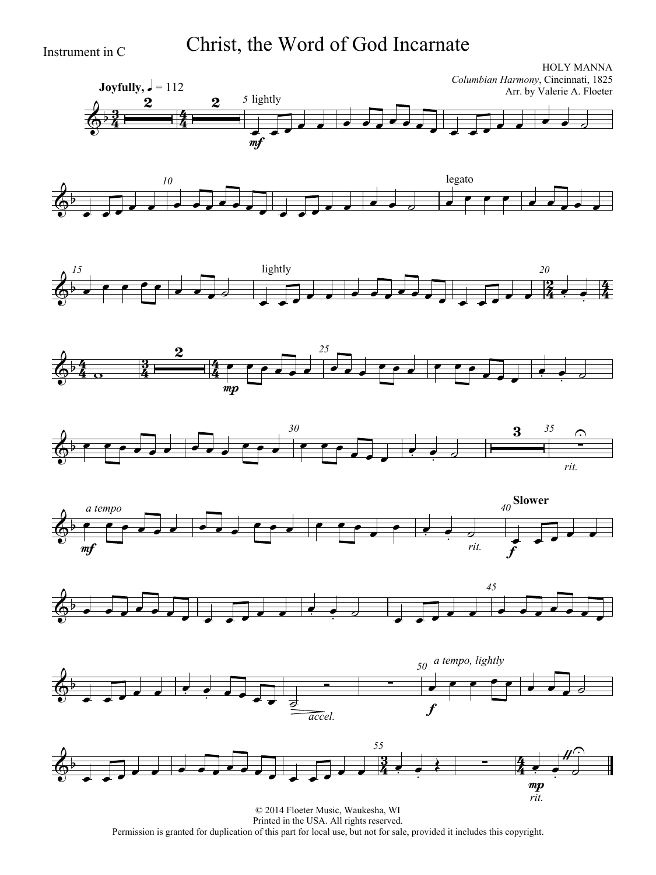Instrument in C Christ, the Word of God Incarnate

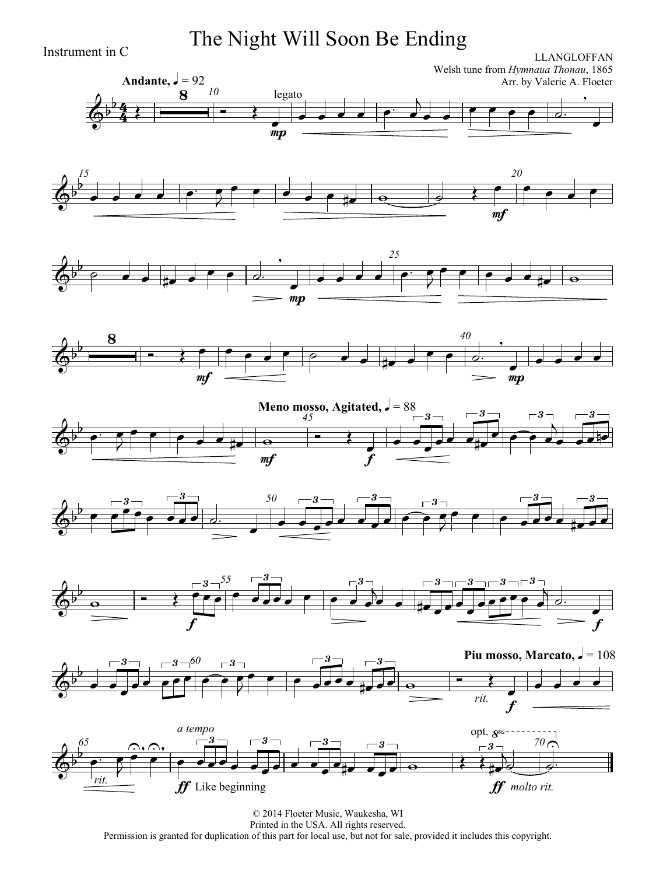Instrument in C **The Night Will Soon Be Ending**